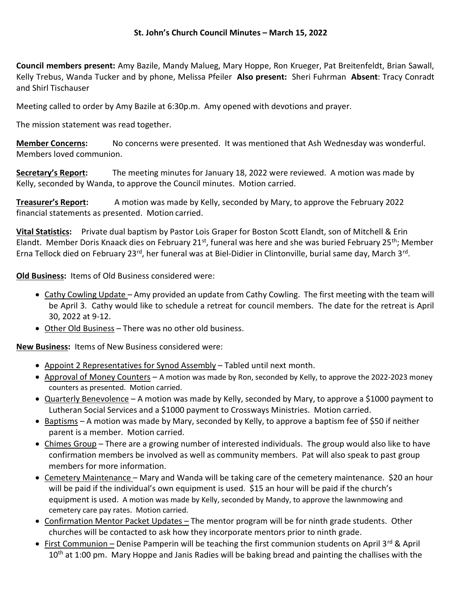## St. John's Church Council Minutes – March 15, 2022

Council members present: Amy Bazile, Mandy Malueg, Mary Hoppe, Ron Krueger, Pat Breitenfeldt, Brian Sawall, Kelly Trebus, Wanda Tucker and by phone, Melissa Pfeiler Also present: Sheri Fuhrman Absent: Tracy Conradt and Shirl Tischauser

Meeting called to order by Amy Bazile at 6:30p.m. Amy opened with devotions and prayer.

The mission statement was read together.

Member Concerns: No concerns were presented. It was mentioned that Ash Wednesday was wonderful. Members loved communion.

Secretary's Report: The meeting minutes for January 18, 2022 were reviewed. A motion was made by Kelly, seconded by Wanda, to approve the Council minutes. Motion carried.

**Treasurer's Report:** A motion was made by Kelly, seconded by Mary, to approve the February 2022 financial statements as presented. Motion carried.

Vital Statistics: Private dual baptism by Pastor Lois Graper for Boston Scott Elandt, son of Mitchell & Erin Elandt. Member Doris Knaack dies on February 21st, funeral was here and she was buried February 25th; Member Erna Tellock died on February 23<sup>rd</sup>, her funeral was at Biel-Didier in Clintonville, burial same day, March 3<sup>rd</sup>.

Old Business: Items of Old Business considered were:

- Cathy Cowling Update Amy provided an update from Cathy Cowling. The first meeting with the team will be April 3. Cathy would like to schedule a retreat for council members. The date for the retreat is April 30, 2022 at 9-12.
- Other Old Business There was no other old business.

New Business: Items of New Business considered were:

- Appoint 2 Representatives for Synod Assembly Tabled until next month.
- Approval of Money Counters A motion was made by Ron, seconded by Kelly, to approve the 2022-2023 money counters as presented. Motion carried.
- Quarterly Benevolence A motion was made by Kelly, seconded by Mary, to approve a \$1000 payment to Lutheran Social Services and a \$1000 payment to Crossways Ministries. Motion carried.
- $\bullet$  Baptisms A motion was made by Mary, seconded by Kelly, to approve a baptism fee of \$50 if neither parent is a member. Motion carried.
- Chimes Group There are a growing number of interested individuals. The group would also like to have confirmation members be involved as well as community members. Pat will also speak to past group members for more information.
- Cemetery Maintenance Mary and Wanda will be taking care of the cemetery maintenance. \$20 an hour will be paid if the individual's own equipment is used. \$15 an hour will be paid if the church's equipment is used. A motion was made by Kelly, seconded by Mandy, to approve the lawnmowing and cemetery care pay rates. Motion carried.
- Confirmation Mentor Packet Updates The mentor program will be for ninth grade students. Other churches will be contacted to ask how they incorporate mentors prior to ninth grade.
- First Communion Denise Pamperin will be teaching the first communion students on April 3<sup>rd</sup> & April  $10<sup>th</sup>$  at 1:00 pm. Mary Hoppe and Janis Radies will be baking bread and painting the challises with the